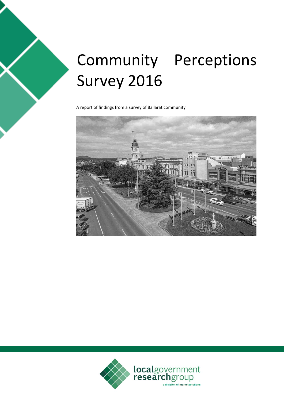# Community Perceptions Survey 2016

A report of findings from a survey of Ballarat community



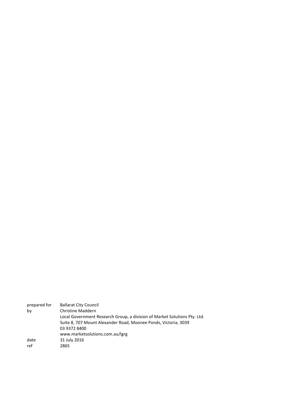| prepared for | <b>Ballarat City Council</b>                                              |
|--------------|---------------------------------------------------------------------------|
| by           | <b>Christine Maddern</b>                                                  |
|              | Local Government Research Group, a division of Market Solutions Pty. Ltd. |
|              | Suite 8, 707 Mount Alexander Road, Moonee Ponds, Victoria, 3039           |
|              | 03 9372 8400                                                              |
|              | www.marketsolutions.com.au/lgrg                                           |
| date         | 31 July 2016                                                              |
| ref          | 2865                                                                      |
|              |                                                                           |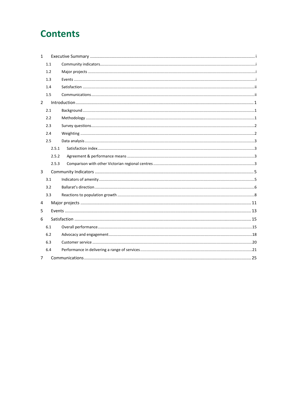## **Contents**

| $\mathbf{1}$   |       |  |
|----------------|-------|--|
|                | 1.1   |  |
|                | 1.2   |  |
|                | 1.3   |  |
|                | 1.4   |  |
|                | 1.5   |  |
| $\overline{2}$ |       |  |
|                | 2.1   |  |
|                | 2.2   |  |
|                | 2.3   |  |
|                | 2.4   |  |
|                | 2.5   |  |
|                | 2.5.1 |  |
|                | 2.5.2 |  |
|                | 2.5.3 |  |
| 3              |       |  |
|                | 3.1   |  |
|                | 3.2   |  |
|                | 3.3   |  |
| 4              |       |  |
| 5              |       |  |
| 6              |       |  |
|                | 6.1   |  |
|                | 6.2   |  |
|                | 6.3   |  |
|                | 6.4   |  |
| $\overline{7}$ |       |  |
|                |       |  |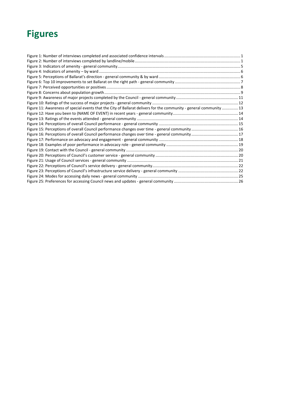## **Figures**

| Figure 11: Awareness of special events that the City of Ballarat delivers for the community - general community  13 |  |
|---------------------------------------------------------------------------------------------------------------------|--|
|                                                                                                                     |  |
|                                                                                                                     |  |
|                                                                                                                     |  |
|                                                                                                                     |  |
|                                                                                                                     |  |
|                                                                                                                     |  |
|                                                                                                                     |  |
|                                                                                                                     |  |
|                                                                                                                     |  |
|                                                                                                                     |  |
|                                                                                                                     |  |
|                                                                                                                     |  |
|                                                                                                                     |  |
|                                                                                                                     |  |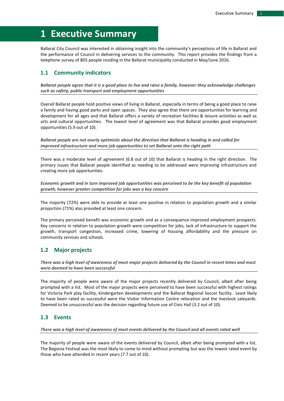## <span id="page-4-0"></span>**1 Executive Summary**

Ballarat City Council was interested in obtaining insight into the community's perceptions of life in Ballarat and the performance of Council in delivering services to the community. This report provides the findings from a telephone survey of 805 people residing in the Ballarat municipality conducted in May/June 2016.

#### <span id="page-4-1"></span>**1.1 Community indicators**

*Ballarat people agree that it is a good place to live and raise a family, however they acknowledge challenges such as safety, public transport and employment opportunities*

Overall Ballarat people hold positive views of living in Ballarat, especially in terms of being a good place to raise a family and having good parks and open spaces. They also agree that there are opportunities for learning and development for all ages and that Ballarat offers a variety of recreation facilities & leisure activities as well as arts and cultural opportunities. The lowest level of agreement was that Ballarat provides good employment opportunities (5.9 out of 10).

*Ballarat people are not overly optimistic about the direction that Ballarat is heading in and called for improved infrastructure and more job opportunities to set Ballarat onto the right path* 

There was a moderate level of agreement (6.8 out of 10) that Ballarat is heading in the right direction. The primary issues that Ballarat people identified as needing to be addressed were improving infrastructure and creating more job opportunities.

*Economic growth and in turn improved job opportunities was perceived to be the key benefit of population growth, however greater competition for jobs was a key concern*

The majority (72%) were able to provide at least one positive in relation to population growth and a similar proportion (71%) also provided at least one concern.

The primary perceived benefit was economic growth and as a consequence improved employment prospects. Key concerns in relation to population growth were competition for jobs, lack of infrastructure to support the growth, transport congestion, increased crime, lowering of housing affordability and the pressure on community services and schools.

### <span id="page-4-2"></span>**1.2 Major projects**

*There was a high level of awareness of most major projects delivered by the Council in recent times and most were deemed to have been successful*

The majority of people were aware of the major projects recently delivered by Council, albeit after being prompted with a list. Most of the major projects were perceived to have been successful with highest ratings for Victoria Park play facility, kindergarten developments and the Ballarat Regional Soccer facility. Least likely to have been rated as successful were the Visitor Information Centre relocation and the livestock saleyards. Deemed to be unsuccessful was the decision regarding future use of Civic Hall (3.2 out of 10).

#### <span id="page-4-3"></span>**1.3 Events**

*There was a high level of awareness of most events delivered by the Council and all events rated well*

The majority of people were aware of the events delivered by Council, albeit after being prompted with a list. The Begonia Festival was the most likely to come to mind without prompting but was the lowest rated event by those who have attended in recent years (7.7 out of 10).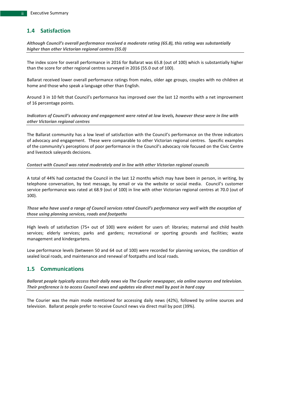### <span id="page-5-0"></span>**1.4 Satisfaction**

*Although Council's overall performance received a moderate rating (65.8), this rating was substantially higher than other Victorian regional centres (55.0)*

The index score for overall performance in 2016 for Ballarat was 65.8 (out of 100) which is substantially higher than the score for other regional centres surveyed in 2016 (55.0 out of 100).

Ballarat received lower overall performance ratings from males, older age groups, couples with no children at home and those who speak a language other than English.

Around 3 in 10 felt that Council's performance has improved over the last 12 months with a net improvement of 16 percentage points.

*Indicators of Council's advocacy and engagement were rated at low levels, however these were in line with other Victorian regional centres*

The Ballarat community has a low level of satisfaction with the Council's performance on the three indicators of advocacy and engagement. These were comparable to other Victorian regional centres. Specific examples of the community's perceptions of poor performance in the Council's advocacy role focused on the Civic Centre and livestock saleyards decisions.

#### *Contact with Council was rated moderately and in line with other Victorian regional councils*

A total of 44% had contacted the Council in the last 12 months which may have been in person, in writing, by telephone conversation, by text message, by email or via the website or social media. Council's customer service performance was rated at 68.9 (out of 100) in line with other Victorian regional centres at 70.0 (out of 100).

*Those who have used a range of Council services rated Council's performance very well with the exception of those using planning services, roads and footpaths*

High levels of satisfaction (75+ out of 100) were evident for users of: libraries; maternal and child health services; elderly services; parks and gardens; recreational or sporting grounds and facilities; waste management and kindergartens.

Low performance levels (between 50 and 64 out of 100) were recorded for planning services, the condition of sealed local roads, and maintenance and renewal of footpaths and local roads.

#### <span id="page-5-1"></span>**1.5 Communications**

*Ballarat people typically access their daily news via The Courier newspaper, via online sources and television. Their preference is to access Council news and updates via direct mail by post in hard copy*

The Courier was the main mode mentioned for accessing daily news (42%), followed by online sources and television. Ballarat people prefer to receive Council news via direct mail by post (39%).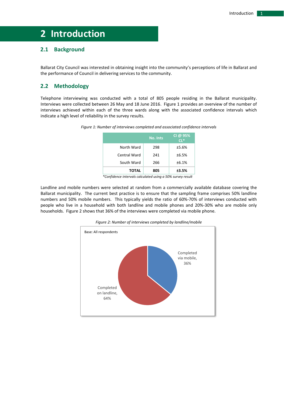## <span id="page-6-0"></span>**2 Introduction**

## <span id="page-6-1"></span>**2.1 Background**

Ballarat City Council was interested in obtaining insight into the community's perceptions of life in Ballarat and the performance of Council in delivering services to the community.

### <span id="page-6-2"></span>**2.2 Methodology**

<span id="page-6-3"></span>Telephone interviewing was conducted with a total of 805 people residing in the Ballarat municipality. Interviews were collected between 26 May and 18 June 2016. [Figure 1](#page-6-3) provides an overview of the number of interviews achieved within each of the three wards along with the associated confidence intervals which indicate a high level of reliability in the survey results.



|              | No. Ints | CI @ 95%<br>$CL*$ |
|--------------|----------|-------------------|
| North Ward   | 298      | ±5.6%             |
| Central Ward | 241      | ±6.5%             |
| South Ward   | 266      | ±6.1%             |
| <b>TOTAL</b> | 805      | ±3.5%             |

 *<sup>\*</sup>Confidence intervals calculated using a 50% survey result*

<span id="page-6-4"></span>Landline and mobile numbers were selected at random from a commercially available database covering the Ballarat municipality. The current best practice is to ensure that the sampling frame comprises 50% landline numbers and 50% mobile numbers. This typically yields the ratio of 60%-70% of interviews conducted with people who live in a household with both landline and mobile phones and 20%-30% who are mobile only households. [Figure 2](#page-6-4) shows that 36% of the interviews were completed via mobile phone.



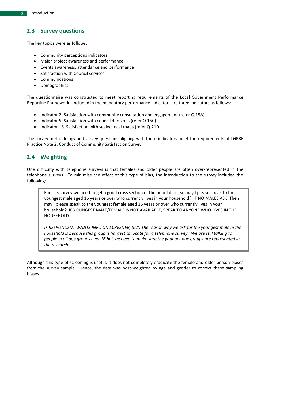## <span id="page-7-0"></span>**2.3 Survey questions**

The key topics were as follows:

- Community perceptions indicators
- Major project awareness and performance
- Events awareness, attendance and performance
- Satisfaction with Council services
- Communications
- Demographics

The questionnaire was constructed to meet reporting requirements of the Local Government Performance Reporting Framework. Included in the mandatory performance indicators are three indicators as follows:

- Indicator 2: Satisfaction with community consultation and engagement (refer Q.15A)
- Indicator 5: Satisfaction with council decisions (refer Q.15C)
- Indicator 18. Satisfaction with sealed local roads (refer Q.21D)

The survey methodology and survey questions aligning with these indicators meet the requirements of LGPRF Practice Note 2: Conduct of Community Satisfaction Survey.

### <span id="page-7-1"></span>**2.4 Weighting**

One difficulty with telephone surveys is that females and older people are often over-represented in the telephone surveys. To minimise the effect of this type of bias, the introduction to the survey included the following:

For this survey we need to get a good cross section of the population, so may I please speak to the youngest male aged 16 years or over who currently lives in your household? IF NO MALES ASK: Then may I please speak to the youngest female aged 16 years or over who currently lives in your household? IF YOUNGEST MALE/FEMALE IS NOT AVAILABLE, SPEAK TO ANYONE WHO LIVES IN THE HOUSEHOLD.

*IF RESPONDENT WANTS INFO ON SCREENER, SAY: The reason why we ask for the youngest male in the household is because this group is hardest to locate for a telephone survey. We are still talking to people in all age groups over 16 but we need to make sure the younger age groups are represented in the research.*

Although this type of screening is useful, it does not completely eradicate the female and older person biases from the survey sample. Hence, the data was post-weighted by age and gender to correct these sampling biases.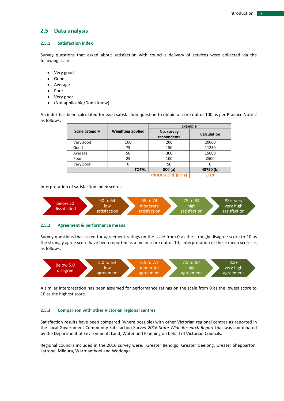#### <span id="page-8-0"></span>**2.5 Data analysis**

#### <span id="page-8-1"></span>**2.5.1 Satisfaction index**

Survey questions that asked about satisfaction with council's delivery of services were collected via the following scale:

- Very good
- Good
- Average
- Poor
- Very poor
- (Not applicable/Don't know)

An index has been calculated for each satisfaction question to obtain a score out of 100 as per Practice Note 2 as follows:

|                |                          | <b>Example</b>                             |                    |  |  |
|----------------|--------------------------|--------------------------------------------|--------------------|--|--|
| Scale category | <b>Weighting applied</b> | No. survey<br>respondents                  | <b>Calculation</b> |  |  |
| Very good      | 100                      | 200                                        | 20000              |  |  |
| Good           | 75                       | 150                                        | 11250              |  |  |
| Average        | 50                       | 300                                        | 15000              |  |  |
| Poor           | 25                       | 100                                        | 2500               |  |  |
| Very poor      |                          | 50                                         |                    |  |  |
|                | <b>TOTAL</b>             | 800(a)                                     | 48750 (b)          |  |  |
|                |                          | <b>INDEX SCORE <math>(b \div a)</math></b> | 60.9               |  |  |

Interpretation of satisfaction index scores:



#### <span id="page-8-2"></span>**2.5.2 Agreement & performance means**

Survey questions that asked for agreement ratings on the scale from 0 as the strongly disagree score to 10 as the strongly agree score have been reported as a mean score out of 10. Interpretation of these mean scores is as follows:



A similar interpretation has been assumed for performance ratings on the scale from 0 as the lowest score to 10 as the highest score.

#### <span id="page-8-3"></span>**2.5.3 Comparison with other Victorian regional centres**

Satisfaction results have been compared (where possible) with other Victorian regional centres as reported in the Local Government Community Satisfaction Survey *2016 State-Wide Research Report* that was coordinated by the Department of Environment, Land, Water and Planning on behalf of Victorian Councils.

Regional councils included in the 2016 survey were: Greater Bendigo, Greater Geelong, Greater Shepparton, Latrobe, Mildura, Warrnambool and Wodonga.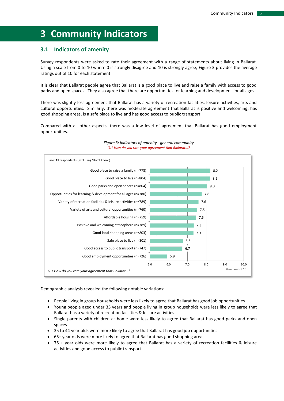## <span id="page-10-0"></span>**3 Community Indicators**

### <span id="page-10-1"></span>**3.1 Indicators of amenity**

Survey respondents were asked to rate their agreement with a range of statements about living in Ballarat. Using a scale from 0 to 10 where 0 is strongly disagree and 10 is strongly agree, [Figure 3](#page-10-2) provides the average ratings out of 10 for each statement.

It is clear that Ballarat people agree that Ballarat is a good place to live and raise a family with access to good parks and open spaces. They also agree that there are opportunities for learning and development for all ages.

There was slightly less agreement that Ballarat has a variety of recreation facilities, leisure activities, arts and cultural opportunities. Similarly, there was moderate agreement that Ballarat is positive and welcoming, has good shopping areas, is a safe place to live and has good access to public transport.

Compared with all other aspects, there was a low level of agreement that Ballarat has good employment opportunities.

<span id="page-10-2"></span>

#### *Figure 3: Indicators of amenity - general community Q.1 How do you rate your agreement that Ballarat…?*

Demographic analysis revealed the following notable variations:

- People living in group households were less likely to agree that Ballarat has good job opportunities
- Young people aged under 35 years and people living in group households were less likely to agree that Ballarat has a variety of recreation facilities & leisure activities
- Single parents with children at home were less likely to agree that Ballarat has good parks and open spaces
- 35 to 44 year olds were more likely to agree that Ballarat has good job opportunities
- 65+ year olds were more likely to agree that Ballarat has good shopping areas
- 75 + year olds were more likely to agree that Ballarat has a variety of recreation facilities & leisure activities and good access to public transport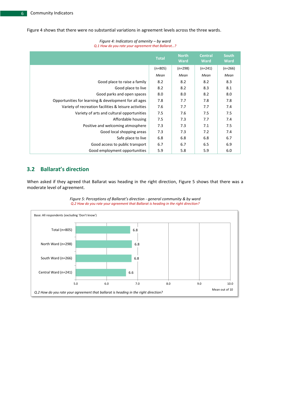[Figure 4](#page-11-1) shows that there were no substantial variations in agreement levels across the three wards.

## *Figure 4: Indicators of amenity – by ward*

<span id="page-11-1"></span>

| Q.1 How do you rate your agreement that Ballard!      |              |                             |                               |                             |  |  |
|-------------------------------------------------------|--------------|-----------------------------|-------------------------------|-----------------------------|--|--|
|                                                       | <b>Total</b> | <b>North</b><br><b>Ward</b> | <b>Central</b><br><b>Ward</b> | <b>South</b><br><b>Ward</b> |  |  |
|                                                       | $(n=805)$    | $(n=298)$                   | $(n=241)$                     | $(n=266)$                   |  |  |
|                                                       | Mean         | Mean                        | Mean                          | Mean                        |  |  |
| Good place to raise a family                          | 8.2          | 8.2                         | 8.2                           | 8.3                         |  |  |
| Good place to live                                    | 8.2          | 8.2                         | 8.3                           | 8.1                         |  |  |
| Good parks and open spaces                            | 8.0          | 8.0                         | 8.2                           | 8.0                         |  |  |
| Opportunities for learning & development for all ages | 7.8          | 7.7                         | 7.8                           | 7.8                         |  |  |
| Variety of recreation facilities & leisure activities | 7.6          | 7.7                         | 7.7                           | 7.4                         |  |  |
| Variety of arts and cultural opportunities            | 7.5          | 7.6                         | 7.5                           | 7.5                         |  |  |
| Affordable housing                                    | 7.5          | 7.3                         | 7.7                           | 7.4                         |  |  |
| Positive and welcoming atmosphere                     | 7.3          | 7.3                         | 7.1                           | 7.5                         |  |  |
| Good local shopping areas                             | 7.3          | 7.3                         | 7.2                           | 7.4                         |  |  |
| Safe place to live                                    | 6.8          | 6.8                         | 6.8                           | 6.7                         |  |  |
| Good access to public transport                       | 6.7          | 6.7                         | 6.5                           | 6.9                         |  |  |
| Good employment opportunities                         | 5.9          | 5.8                         | 5.9                           | 6.0                         |  |  |

## *Q.1 How do you rate your agreement that Ballarat…?*

## <span id="page-11-0"></span>**3.2 Ballarat's direction**

When asked if they agreed that Ballarat was heading in the right direction, [Figure 5](#page-11-2) shows that there was a moderate level of agreement.

<span id="page-11-2"></span>

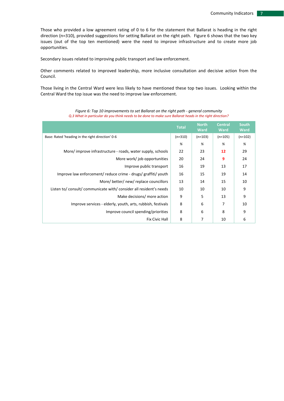Those who provided a low agreement rating of 0 to 6 for the statement that Ballarat is heading in the right direction (n=310), provided suggestions for setting Ballarat on the right path. [Figure 6](#page-12-0) shows that the two key issues (out of the top ten mentioned) were the need to improve infrastructure and to create more job opportunities.

Secondary issues related to improving public transport and law enforcement.

Other comments related to improved leadership, more inclusive consultation and decisive action from the Council.

Those living in the Central Ward were less likely to have mentioned these top two issues. Looking within the Central Ward the top issue was the need to improve law enforcement.

<span id="page-12-0"></span>

|                                                                     | <b>Total</b> | <b>North</b><br><b>Ward</b> | <b>Central</b><br><b>Ward</b> | <b>South</b><br><b>Ward</b> |
|---------------------------------------------------------------------|--------------|-----------------------------|-------------------------------|-----------------------------|
| Base: Rated 'heading in the right direction' 0-6                    | $(n=310)$    | $(n=103)$                   | $(n=105)$                     | $(n=102)$                   |
|                                                                     | %            | %                           | %                             | %                           |
| More/improve infrastructure - roads, water supply, schools          | 22           | 23                          | 12                            | 29                          |
| More work/job opportunities                                         | 20           | 24                          | 9                             | 24                          |
| Improve public transport                                            | 16           | 19                          | 13                            | 17                          |
| Improve law enforcement/ reduce crime - drugs/ graffiti/ youth      | 16           | 15                          | 19                            | 14                          |
| More/better/new/replace councillors                                 | 13           | 14                          | 15                            | 10                          |
| Listen to/ consult/ communicate with/ consider all resident's needs | 10           | 10                          | 10                            | 9                           |
| Make decisions/ more action                                         | 9            | 5                           | 13                            | 9                           |
| Improve services - elderly, youth, arts, rubbish, festivals         | 8            | 6                           | 7                             | 10                          |
| Improve council spending/priorities                                 | 8            | 6                           | 8                             | 9                           |
| <b>Fix Civic Hall</b>                                               | 8            | 7                           | 10                            | 6                           |

*Figure 6: Top 10 improvements to set Ballarat on the right path - general community Q.3 What in particular do you think needs to be done to make sure Ballarat heads in the right direction?*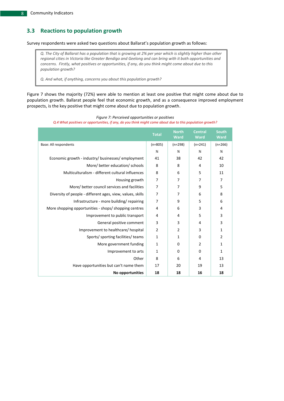### <span id="page-13-0"></span>**3.3 Reactions to population growth**

Survey respondents were asked two questions about Ballarat's population growth as follows:

*Q. The City of Ballarat has a population that is growing at 2% per year which is slightly higher than other regional cities in Victoria like Greater Bendigo and Geelong and can bring with it both opportunities and concerns. Firstly, what positives or opportunities, if any, do you think might come about due to this population growth?*

*Q. And what, if anything, concerns you about this population growth?*

[Figure 7](#page-13-1) shows the majority (72%) were able to mention at least one positive that might come about due to population growth. Ballarat people feel that economic growth, and as a consequence improved employment prospects, is the key positive that might come about due to population growth.

<span id="page-13-1"></span>

|                                                            | <b>Total</b>   | <b>North</b><br>Ward | <b>Central</b><br>Ward | <b>South</b><br><b>Ward</b> |
|------------------------------------------------------------|----------------|----------------------|------------------------|-----------------------------|
| Base: All respondents                                      | $(n=805)$      | $(n=298)$            | $(n=241)$              | $(n=266)$                   |
|                                                            | %              | %                    | %                      | %                           |
| Economic growth - industry/ businesses/ employment         | 41             | 38                   | 42                     | 42                          |
| More/ better education/ schools                            | 8              | 8                    | 4                      | 10                          |
| Multiculturalism - different cultural influences           | 8              | 6                    | 5                      | 11                          |
| Housing growth                                             | $\overline{7}$ | 7                    | 7                      | $\overline{7}$              |
| More/better council services and facilities                | $\overline{7}$ | 7                    | 9                      | 5                           |
| Diversity of people - different ages, view, values, skills | $\overline{7}$ | 7                    | 6                      | 8                           |
| Infrastructure - more building/repairing                   | $\overline{7}$ | 9                    | 5                      | 6                           |
| More shopping opportunities - shops/shopping centres       | 4              | 6                    | 3                      | $\overline{4}$              |
| Improvement to public transport                            | 4              | 4                    | 5                      | 3                           |
| General positive comment                                   | 3              | 3                    | 4                      | 3                           |
| Improvement to healthcare/hospital                         | $\overline{2}$ | $\overline{2}$       | 3                      | 1                           |
| Sports/ sporting facilities/ teams                         | $\mathbf{1}$   | 1                    | $\Omega$               | $\overline{2}$              |
| More government funding                                    | $\mathbf{1}$   | 0                    | 2                      | $\mathbf{1}$                |
| Improvement to arts                                        | 1              | 0                    | $\mathbf 0$            | $\mathbf{1}$                |
| Other                                                      | 8              | 6                    | 4                      | 13                          |
| Have opportunities but can't name them                     | 17             | 20                   | 19                     | 13                          |
| No opportunities                                           | 18             | 18                   | 16                     | 18                          |

#### *Figure 7: Perceived opportunities or positives*

*Q.4 What positives or opportunities, if any, do you think might come about due to this population growth?*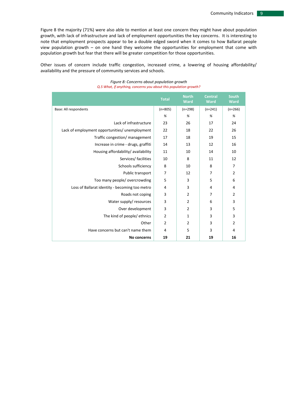[Figure 8](#page-14-0) the majority (71%) were also able to mention at least one concern they might have about population growth, with lack of infrastructure and lack of employment opportunities the key concerns. It is interesting to note that employment prospects appear to be a double edged sword when it comes to how Ballarat people view population growth – on one hand they welcome the opportunities for employment that come with population growth but fear that there will be greater competition for those opportunities.

<span id="page-14-0"></span>Other issues of concern include traffic congestion, increased crime, a lowering of housing affordability/ availability and the pressure of community services and schools.

|                                                | <b>Total</b>   | <b>North</b><br>Ward | <b>Central</b><br>Ward | <b>South</b><br><b>Ward</b> |
|------------------------------------------------|----------------|----------------------|------------------------|-----------------------------|
| Base: All respondents                          | $(n=805)$      | $(n=298)$            | $(n=241)$              | $(n=266)$                   |
|                                                | %              | %                    | %                      | %                           |
| Lack of infrastructure                         | 23             | 26                   | 17                     | 24                          |
| Lack of employment opportunities/ unemployment | 22             | 18                   | 22                     | 26                          |
| Traffic congestion/ management                 | 17             | 18                   | 19                     | 15                          |
| Increase in crime - drugs, graffiti            | 14             | 13                   | 12                     | 16                          |
| Housing affordability/ availability            | 11             | 10                   | 14                     | 10                          |
| Services/ facilities                           | 10             | 8                    | 11                     | 12                          |
| Schools sufficiency                            | 8              | 10                   | 8                      | 7                           |
| Public transport                               | $\overline{7}$ | 12                   | $\overline{7}$         | $\overline{2}$              |
| Too many people/ overcrowding                  | 5              | 3                    | 5                      | 6                           |
| Loss of Ballarat identity - becoming too metro | 4              | 3                    | 4                      | 4                           |
| Roads not coping                               | 3              | $\overline{2}$       | 7                      | 2                           |
| Water supply/ resources                        | 3              | $\overline{2}$       | 6                      | 3                           |
| Over development                               | $\overline{3}$ | $\overline{2}$       | 3                      | 5                           |
| The kind of people/ ethnics                    | $\overline{2}$ | 1                    | 3                      | 3                           |
| Other                                          | $\overline{2}$ | $\overline{2}$       | 3                      | $\overline{2}$              |
| Have concerns but can't name them              | $\overline{4}$ | 5                    | 3                      | 4                           |
| No concerns                                    | 19             | 21                   | 19                     | 16                          |

#### *Figure 8: Concerns about population growth Q.5 What, if anything, concerns you about this population growth?*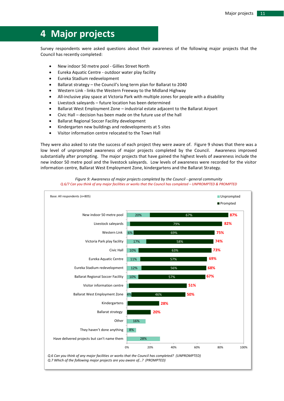## <span id="page-16-0"></span>**4 Major projects**

Survey respondents were asked questions about their awareness of the following major projects that the Council has recently completed:

- New indoor 50 metre pool Gillies Street North
- Eureka Aquatic Centre outdoor water play facility
- Eureka Stadium redevelopment
- Ballarat strategy the Council's long term plan for Ballarat to 2040
- Western Link links the Western Freeway to the Midland Highway
- All-inclusive play space at Victoria Park with multiple zones for people with a disability
- Livestock saleyards future location has been determined
- Ballarat West Employment Zone industrial estate adjacent to the Ballarat Airport
- Civic Hall decision has been made on the future use of the hall
- Ballarat Regional Soccer Facility development
- Kindergarten new buildings and redevelopments at 5 sites
- Visitor information centre relocated to the Town Hall

They were also asked to rate the success of each project they were aware of. [Figure 9](#page-16-1) shows that there was a low level of unprompted awareness of major projects completed by the Council. Awareness improved substantially after prompting. The major projects that have gained the highest levels of awareness include the new indoor 50 metre pool and the livestock saleyards. Low levels of awareness were recorded for the visitor information centre, Ballarat West Employment Zone, kindergartens and the Ballarat Strategy.

<span id="page-16-1"></span>

*Figure 9: Awareness of major projects completed by the Council - general community Q.6/7 Can you think of any major facilities or works that the Council has completed – UNPROMPTED & PROMPTED*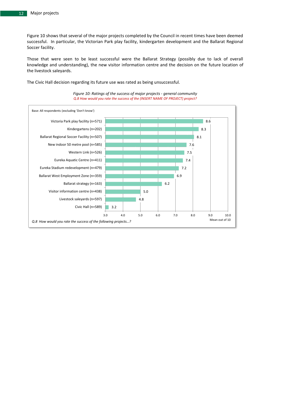[Figure 10](#page-17-0) shows that several of the major projects completed by the Council in recent times have been deemed successful. In particular, the Victorian Park play facility, kindergarten development and the Ballarat Regional Soccer facility.

Those that were seen to be least successful were the Ballarat Strategy (possibly due to lack of overall knowledge and understanding), the new visitor information centre and the decision on the future location of the livestock saleyards.

*Figure 10: Ratings of the success of major projects - general community* 

<span id="page-17-0"></span>*Q.8 How would you rate the success of the (INSERT NAME OF PROJECT) project?* 3.2 4.8 5.0 6.2 6.9 7.2 7.4 7.5 7.6 8.1 8.3 8.6 3.0 4.0 5.0 6.0 7.0 8.0 9.0 10.0 Civic Hall (n=589) Livestock saleyards (n=597) Visitor information centre (n=438) Ballarat strategy (n=163) Ballarat West Employment Zone (n=359) Eureka Stadium redevelopment (n=479) Eureka Aquatic Centre (n=411) Western Link (n=526) New indoor 50 metre pool (n=585) Ballarat Regional Soccer Facility (n=507) Kindergartens (n=202) Victoria Park play facility (n=571) Base: All respondents (excluding 'Don't know') Mean out of 10 *Q.8 How would you rate the success of the following projects…?*

The Civic Hall decision regarding its future use was rated as being unsuccessful.

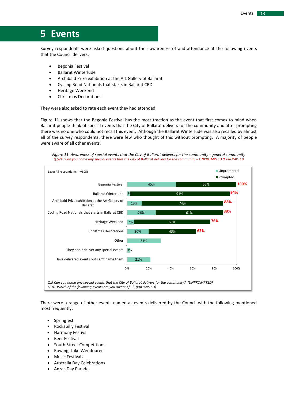## <span id="page-18-0"></span>**5 Events**

Survey respondents were asked questions about their awareness of and attendance at the following events that the Council delivers:

- **•** Begonia Festival
- Ballarat Winterlude
- Archibald Prize exhibition at the Art Gallery of Ballarat
- Cycling Road Nationals that starts in Ballarat CBD
- **•** Heritage Weekend
- Christmas Decorations

They were also asked to rate each event they had attended.

[Figure 11](#page-18-1) shows that the Begonia Festival has the most traction as the event that first comes to mind when Ballarat people think of special events that the City of Ballarat delivers for the community and after prompting there was no one who could not recall this event. Although the Ballarat Winterlude was also recalled by almost all of the survey respondents, there were few who thought of this without prompting. A majority of people were aware of all other events.

*Figure 11: Awareness of special events that the City of Ballarat delivers for the community - general community Q.9/10 Can you name any special events that the City of Ballarat delivers for the community – UNPROMPTED & PROMPTED*

<span id="page-18-1"></span>

There were a range of other events named as events delivered by the Council with the following mentioned most frequently:

- Springfest
- Rockabilly Festival
- Harmony Festival
- Beer Festival
- South Street Competitions
- Rowing, Lake Wendouree
- Music Festivals
- Australia Day Celebrations
- Anzac Day Parade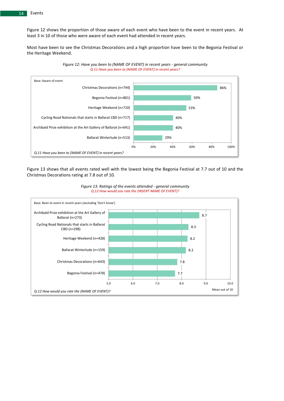[Figure 12](#page-19-0) shows the proportion of those aware of each event who have been to the event in recent years. At least 3 in 10 of those who were aware of each event had attended in recent years.

Most have been to see the Christmas Decorations and a high proportion have been to the Begonia Festival or the Heritage Weekend.

<span id="page-19-0"></span>

*Figure 12: Have you been to (NAME OF EVENT) in recent years - general community Q.11 Have you been to (NAME OF EVENT) in recent years?*

[Figure 13](#page-19-1) shows that all events rated well with the lowest being the Begonia Festival at 7.7 out of 10 and the Christmas Decorations rating at 7.8 out of 10.



<span id="page-19-1"></span>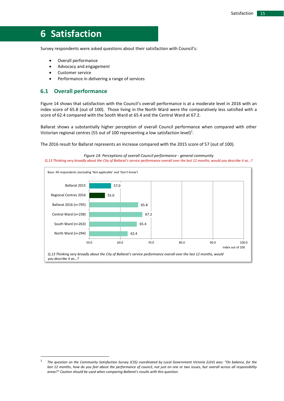## <span id="page-20-0"></span>**6 Satisfaction**

Survey respondents were asked questions about their satisfaction with Council's:

- Overall performance
- Advocacy and engagement
- Customer service
- Performance in delivering a range of services

#### <span id="page-20-1"></span>**6.1 Overall performance**

1

[Figure 14](#page-20-2) shows that satisfaction with the Council's overall performance is at a moderate level in 2016 with an index score of 65.8 (out of 100). Those living in the North Ward were the comparatively less satisfied with a score of 62.4 compared with the Sooth Ward at 65.4 and the Central Ward at 67.2.

Ballarat shows a substantially higher perception of overall Council performance when compared with other Victorian regional centres (55 out of 100 representing a low satisfaction level)<sup>1</sup>.

The 2016 result for Ballarat represents an increase compared with the 2015 score of 57 (out of 100).

#### *Figure 14: Perceptions of overall Council performance - general community*

<span id="page-20-2"></span>*Q.13 Thinking very broadly about the City of Ballarat's service performance overall over the last 12 months, would you describe it as…?*



<sup>1</sup> *The question on the Community Satisfaction Survey (CSS) coordinated by Local Government Victoria (LGV) was: "On balance, for the*  last 12 months, how do you feel about the performance of council, not just on one or two issues, but overall across all responsibility *areas?" Caution should be used when comparing Ballarat's results with this question.*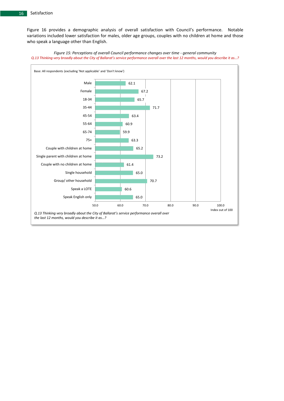[Figure 16](#page-22-0) provides a demographic analysis of overall satisfaction with Council's performance. Notable variations included lower satisfaction for males, older age groups, couples with no children at home and those who speak a language other than English.



<span id="page-21-0"></span>*Figure 15: Perceptions of overall Council performance changes over time - general community Q.13 Thinking very broadly about the City of Ballarat's service performance overall over the last 12 months, would you describe it as…?*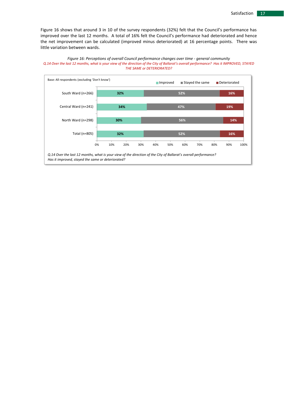[Figure 16](#page-22-0) shows that around 3 in 10 of the survey respondents (32%) felt that the Council's performance has improved over the last 12 months. A total of 16% felt the Council's performance had deteriorated and hence the net improvement can be calculated (improved minus deteriorated) at 16 percentage points. There was little variation between wards.

<span id="page-22-0"></span>

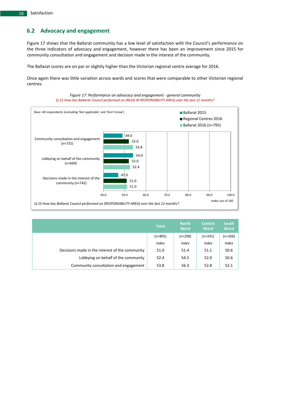### <span id="page-23-0"></span>**6.2 Advocacy and engagement**

[Figure 17](#page-23-1) shows that the Ballarat community has a low level of satisfaction with the Council's performance on the three indicators of advocacy and engagement, however there has been an improvement since 2015 for community consultation and engagement and decision made in the interest of the community.

The Ballarat scores are on par or slightly higher than the Victorian regional centre average for 2016.

Once again there was little variation across wards and scores that were comparable to other Victorian regional centres.



<span id="page-23-1"></span>

|                                                 | <b>Total</b> | <b>North</b><br><b>Ward</b> | <b>Central</b><br><b>Ward</b> | <b>South</b><br><b>Ward</b> |
|-------------------------------------------------|--------------|-----------------------------|-------------------------------|-----------------------------|
|                                                 | $(n=805)$    | $(n=298)$                   | $(n=241)$                     | (n=266)                     |
|                                                 | <b>Index</b> | <b>Index</b>                | <i>Index</i>                  | <b>Index</b>                |
| Decisions made in the interest of the community | 51.0         | 51.4                        | 51.1                          | 50.6                        |
| Lobbying on behalf of the community             | 52.4         | 54.5                        | 52.0                          | 50.6                        |
| Community consultation and engagement           | 53.8         | 56.3                        | 52.8                          | 52.1                        |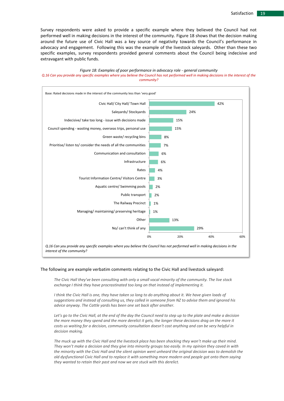Survey respondents were asked to provide a specific example where they believed the Council had not performed well in making decisions in the interest of the community. [Figure 18](#page-24-0) shows that the decision making around the future use of Civic Hall was a key source of negativity towards the Council's performance in advocacy and engagement. Following this was the example of the livestock saleyards. Other than these two specific examples, survey respondents provided general comments about the Council being indecisive and extravagant with public funds.

#### *Figure 18: Examples of poor performance in advocacy role - general community*

#### <span id="page-24-0"></span>*Q.16 Can you provide any specific examples where you believe the Council has not performed well in making decisions in the interest of the community?*



#### The following are example verbatim comments relating to the Civic Hall and livestock saleyard:

*The Civic Hall they've been consulting with only a small vocal minority of the community. The live stock exchange I think they have procrastinated too long on that instead of implementing it.* 

*I think the Civic Hall is one, they have taken so long to do anything about it. We have given loads of suggestions and instead of consulting us, they called in someone from NZ to advise them and ignored his advice anyway. The Cattle yards has been one set back after another.* 

*Let's go to the Civic Hall, at the end of the day the Council need to step up to the plate and make a decision the more money they spend and the more derelict it gets, the longer these decisions drag on the more it costs us waiting for a decision, community consultation doesn't cost anything and can be very helpful in decision making.*

*The muck up with the Civic Hall and the livestock place has been shocking they won't make up their mind. They won't make a decision and they give into minority groups too easily. In my opinion they caved in with the minority with the Civic Hall and the silent opinion went unheard the original decision was to demolish the old dysfunctional Civic Hall and to replace it with something more modern and people got onto them saying they wanted to retain their past and now we are stuck with this derelict.*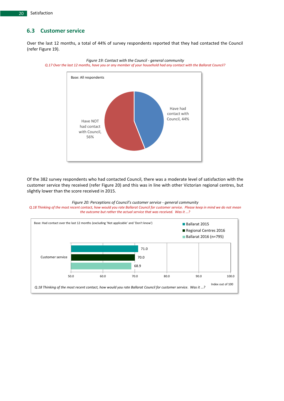### <span id="page-25-0"></span>**6.3 Customer service**

Over the last 12 months, a total of 44% of survey respondents reported that they had contacted the Council (refer [Figure 19\)](#page-25-1).



<span id="page-25-1"></span>*Figure 19: Contact with the Council - general community Q.17 Over the last 12 months, have you or any member of your household had any contact with the Ballarat Council?*

Of the 382 survey respondents who had contacted Council, there was a moderate level of satisfaction with the customer service they received (refer [Figure 20\)](#page-25-2) and this was in line with other Victorian regional centres, but slightly lower than the score received in 2015.



<span id="page-25-2"></span>

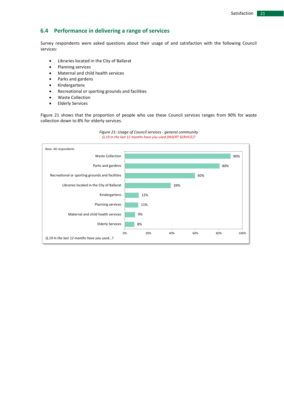### <span id="page-26-0"></span>**6.4 Performance in delivering a range of services**

Survey respondents were asked questions about their usage of and satisfaction with the following Council services:

- Libraries located in the City of Ballarat
- Planning services
- Maternal and child health services
- Parks and gardens
- Kindergartens
- Recreational or sporting grounds and facilities
- Waste Collection
- **•** Elderly Services

[Figure 21](#page-26-1) shows that the proportion of people who use these Council services ranges from 90% for waste collection down to 8% for elderly services.

<span id="page-26-1"></span>

#### *Figure 21: Usage of Council services - general community Q.19 In the last 12 months have you used (INSERT SERVICE)?*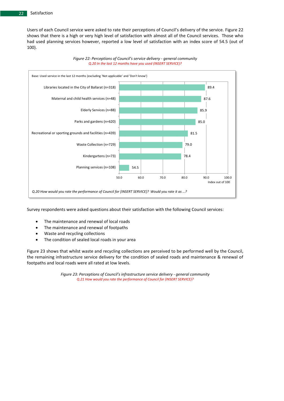Users of each Council service were asked to rate their perceptions of Council's delivery of the service. [Figure 22](#page-27-0) shows that there is a high or very high level of satisfaction with almost all of the Council services. Those who had used planning services however, reported a low level of satisfaction with an index score of 54.5 (out of 100).

<span id="page-27-0"></span>

*Figure 22: Perceptions of Council's service delivery - general community Q.20 In the last 12 months have you used (INSERT SERVICE)?*

Survey respondents were asked questions about their satisfaction with the following Council services:

- The maintenance and renewal of local roads
- The maintenance and renewal of footpaths
- Waste and recycling collections
- The condition of sealed local roads in your area

<span id="page-27-1"></span>[Figure 23](#page-27-1) shows that whilst waste and recycling collections are perceived to be performed well by the Council, the remaining infrastructure service delivery for the condition of sealed roads and maintenance & renewal of footpaths and local roads were all rated at low levels.

> *Figure 23: Perceptions of Council's infrastructure service delivery - general community Q.21 How would you rate the performance of Council for (INSERT SERVICE)?*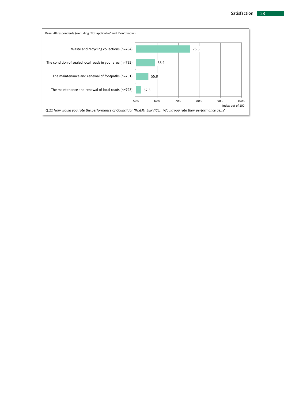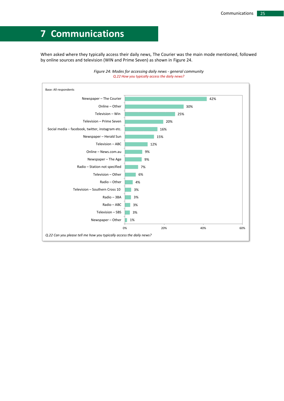## <span id="page-30-0"></span>**7 Communications**

When asked where they typically access their daily news, The Courier was the main mode mentioned, followed by online sources and television (WIN and Prime Seven) as shown in [Figure 24.](#page-30-1)

<span id="page-30-1"></span>